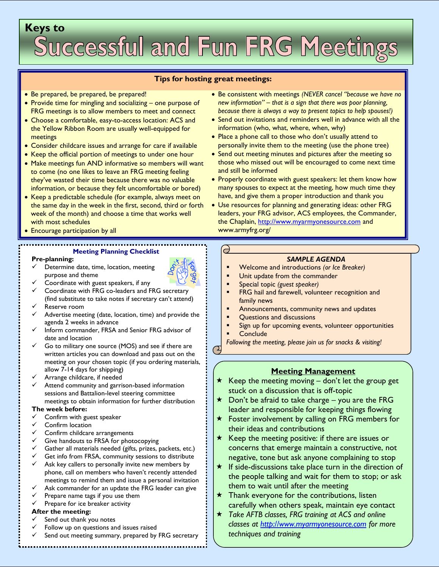# **Keys to**

## **Tips for hosting great meetings:**

- Be prepared, be prepared, be prepared!
- Provide time for mingling and socializing one purpose of FRG meetings is to allow members to meet and connect
- Choose a comfortable, easy-to-access location: ACS and the Yellow Ribbon Room are usually well-equipped for meetings
- Consider childcare issues and arrange for care if available
- Keep the official portion of meetings to under one hour
- Make meetings fun AND informative so members will want to come (no one likes to leave an FRG meeting feeling they've wasted their time because there was no valuable information, or because they felt uncomfortable or bored)
- Keep a predictable schedule (for example, always meet on the same day in the week in the first, second, third or forth week of the month) and choose a time that works well with most schedules
- Encourage participation by all

# **Meeting Planning Checklist**

#### **Pre-planning:**

- Determine date, time, location, meeting purpose and theme
- Coordinate with guest speakers, if any
- $\checkmark$  Coordinate with FRG co-leaders and FRG secretary (find substitute to take notes if secretary can't attend) Reserve room
- $\checkmark$  Advertise meeting (date, location, time) and provide the agenda 2 weeks in advance
- $\checkmark$  Inform commander, FRSA and Senior FRG advisor of date and location
- Go to military one source (MOS) and see if there are written articles you can download and pass out on the meeting on your chosen topic (if you ordering materials, allow 7-14 days for shipping)
- $\checkmark$  Arrange childcare, if needed
- $\checkmark$  Attend community and garrison-based information sessions and Battalion-level steering committee meetings to obtain information for further distribution
- **The week before:**
- $\checkmark$  Confirm with guest speaker
- $\checkmark$  Confirm location
- $\checkmark$  Confirm childcare arrangements
- $\checkmark$  Give handouts to FRSA for photocopying
- $\checkmark$  Gather all materials needed (gifts, prizes, packets, etc.)<br> $\checkmark$  Get info from FRSA community sessions to distribute
- Get info from FRSA, community sessions to distribute
- $\checkmark$  Ask key callers to personally invite new members by phone, call on members who haven't recently attended meetings to remind them and issue a personal invitation
- $\checkmark$  Ask commander for an update the FRG leader can give
- 
- $\checkmark$  Prepare name tags if you use them<br> $\checkmark$  Prepare for ice breaker activity Prepare for ice breaker activity

#### **After the meeting:**

- Send out thank you notes
- Follow up on questions and issues raised
- Send out meeting summary, prepared by FRG secretary
- Be consistent with meetings *(NEVER cancel "because we have no new information" – that is a sign that there was poor planning, because there is always a way to present topics to help spouses!)*
- Send out invitations and reminders well in advance with all the information (who, what, where, when, why)
- Place a phone call to those who don't usually attend to personally invite them to the meeting (use the phone tree)
- Send out meeting minutes and pictures after the meeting so those who missed out will be encouraged to come next time and still be informed
- Properly coordinate with guest speakers: let them know how many spouses to expect at the meeting, how much time they have, and give them a proper introduction and thank you
- Use resources for planning and generating ideas: other FRG leaders, your FRG advisor, ACS employees, the Commander, the Chaplain, [http://www.myarmyonesource.com](http://www.myarmyonesource.com/) and www.armyfrg.org/

## *SAMPLE AGENDA*

- Welcome and introductions *(or Ice Breaker)*
- Unit update from the commander
- Special topic *(guest speaker)*
- FRG hail and farewell, volunteer recognition and family news
- Announcements, community news and updates
- Questions and discussions
- Sign up for upcoming events, volunteer opportunities
- **Conclude**

 $\Theta$ 

*Following the meeting, please join us for snacks & visiting!*

# **Meeting Management**

- $\star$  Keep the meeting moving don't let the group get stuck on a discussion that is off-topic
- $\star$  Don't be afraid to take charge you are the FRG leader and responsible for keeping things flowing
- $\star$  Foster involvement by calling on FRG members for their ideas and contributions
- $\star$  Keep the meeting positive: if there are issues or concerns that emerge maintain a constructive, not negative, tone but ask anyone complaining to stop
- $\star$  If side-discussions take place turn in the direction of the people talking and wait for them to stop; or ask them to wait until after the meeting
- $\star$  Thank everyone for the contributions, listen carefully when others speak, maintain eye contact
- *Take AFTB classes, FRG training at ACS and online classes at [http://www.myarmyonesource.com](http://www.myarmyonesource.com/) for more techniques and training*